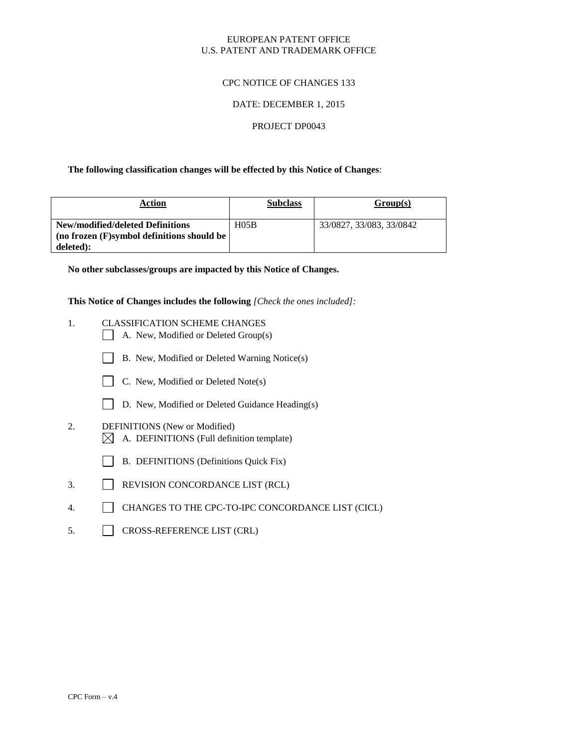#### EUROPEAN PATENT OFFICE U.S. PATENT AND TRADEMARK OFFICE

#### CPC NOTICE OF CHANGES 133

#### DATE: DECEMBER 1, 2015

#### PROJECT DP0043

#### **The following classification changes will be effected by this Notice of Changes**:

| Action                                                                                         | <b>Subclass</b>  | Group(s)                 |
|------------------------------------------------------------------------------------------------|------------------|--------------------------|
| New/modified/deleted Definitions<br>(no frozen $(F)$ symbol definitions should be<br>deleted): | H <sub>05B</sub> | 33/0827, 33/083, 33/0842 |

**No other subclasses/groups are impacted by this Notice of Changes.**

**This Notice of Changes includes the following** *[Check the ones included]:*

- 1. CLASSIFICATION SCHEME CHANGES
	- $\Box$  A. New, Modified or Deleted Group(s)
	- B. New, Modified or Deleted Warning Notice(s)
	- $\Box$  C. New, Modified or Deleted Note(s)
	- D. New, Modified or Deleted Guidance Heading(s)
- 2. DEFINITIONS (New or Modified)  $\boxtimes$  A. DEFINITIONS (Full definition template)
	- B. DEFINITIONS (Definitions Quick Fix)
- 3. REVISION CONCORDANCE LIST (RCL)
- 4. CHANGES TO THE CPC-TO-IPC CONCORDANCE LIST (CICL)
- 5. CROSS-REFERENCE LIST (CRL)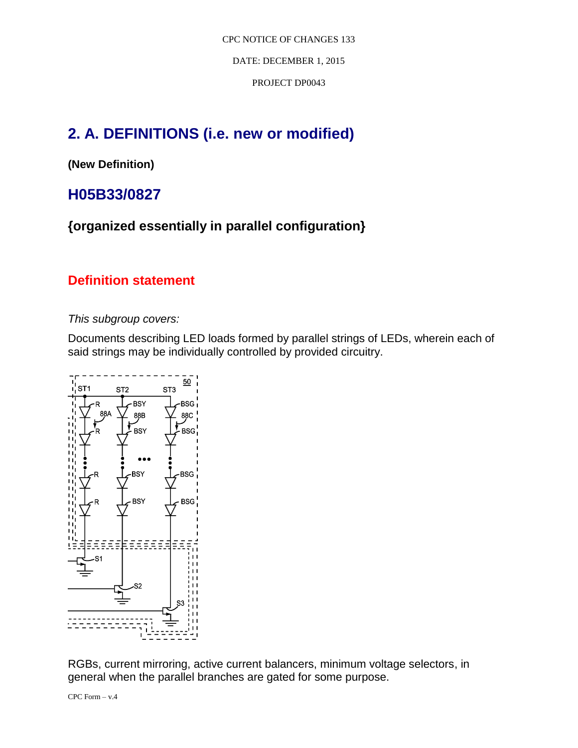DATE: DECEMBER 1, 2015

PROJECT DP0043

# **2. A. DEFINITIONS (i.e. new or modified)**

**(New Definition)**

# **H05B33/0827**

**{organized essentially in parallel configuration}**

## **Definition statement**

*This subgroup covers:*

Documents describing LED loads formed by parallel strings of LEDs, wherein each of said strings may be individually controlled by provided circuitry.



RGBs, current mirroring, active current balancers, minimum voltage selectors, in general when the parallel branches are gated for some purpose.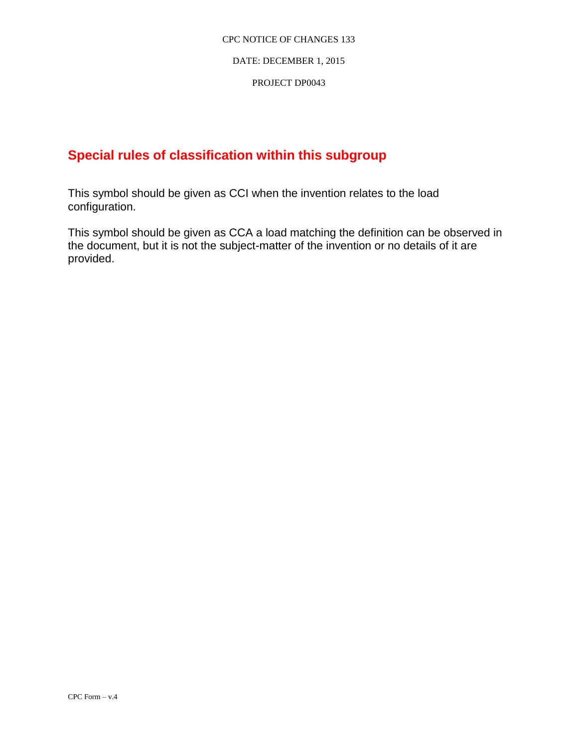### DATE: DECEMBER 1, 2015

### PROJECT DP0043

## **Special rules of classification within this subgroup**

This symbol should be given as CCI when the invention relates to the load configuration.

This symbol should be given as CCA a load matching the definition can be observed in the document, but it is not the subject-matter of the invention or no details of it are provided.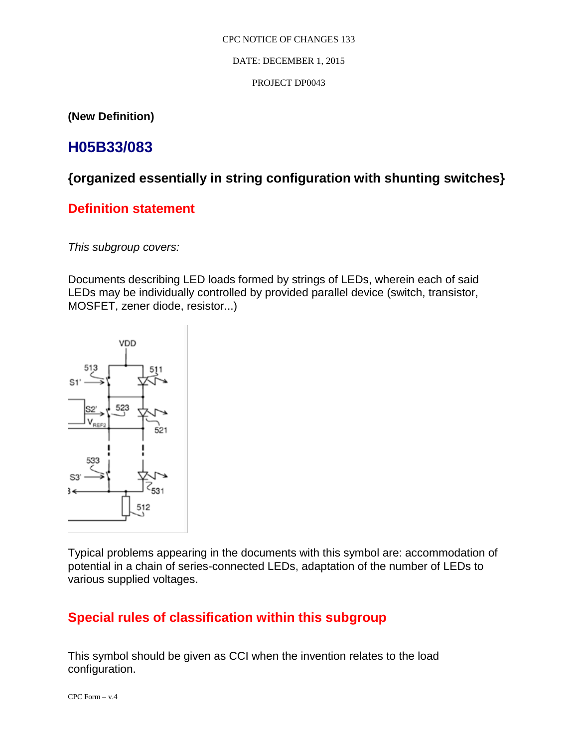### DATE: DECEMBER 1, 2015

### PROJECT DP0043

**(New Definition)**

# **H05B33/083**

## **{organized essentially in string configuration with shunting switches}**

## **Definition statement**

*This subgroup covers:*

Documents describing LED loads formed by strings of LEDs, wherein each of said LEDs may be individually controlled by provided parallel device (switch, transistor, MOSFET, zener diode, resistor...)



Typical problems appearing in the documents with this symbol are: accommodation of potential in a chain of series-connected LEDs, adaptation of the number of LEDs to various supplied voltages.

## **Special rules of classification within this subgroup**

This symbol should be given as CCI when the invention relates to the load configuration.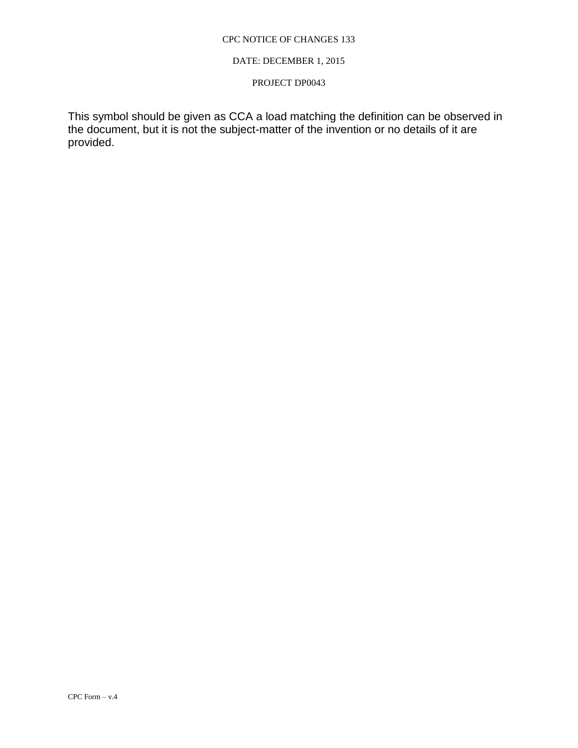### DATE: DECEMBER 1, 2015

### PROJECT DP0043

This symbol should be given as CCA a load matching the definition can be observed in the document, but it is not the subject-matter of the invention or no details of it are provided.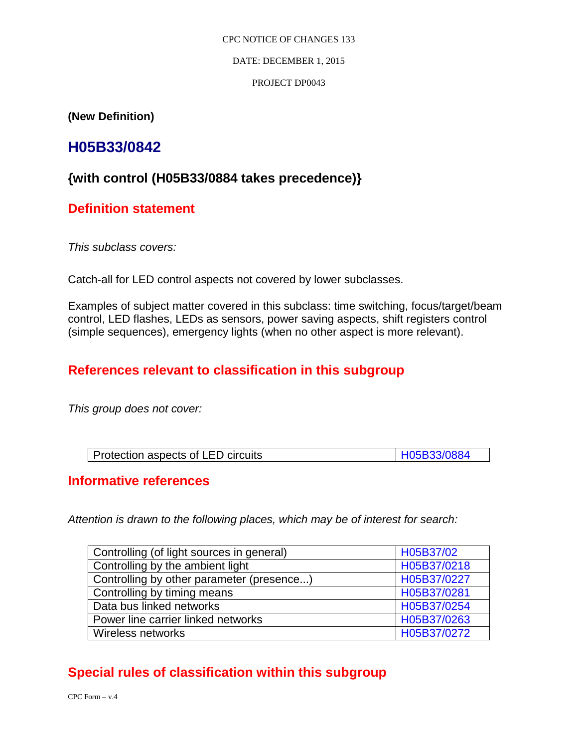DATE: DECEMBER 1, 2015

### PROJECT DP0043

**(New Definition)** 

# **H05B33/0842**

## **{with control (H05B33/0884 takes precedence)}**

## **Definition statement**

*This subclass covers:* 

Catch-all for LED control aspects not covered by lower subclasses.

Examples of subject matter covered in this subclass: time switching, focus/target/beam control, LED flashes, LEDs as sensors, power saving aspects, shift registers control (simple sequences), emergency lights (when no other aspect is more relevant).

## **References relevant to classification in this subgroup**

*This group does not cover:* 

| Protection aspects of LED circuits | H05B33/0884 |
|------------------------------------|-------------|

## **Informative references**

*Attention is drawn to the following places, which may be of interest for search:* 

| Controlling (of light sources in general) | H05B37/02   |
|-------------------------------------------|-------------|
| Controlling by the ambient light          | H05B37/0218 |
| Controlling by other parameter (presence) | H05B37/0227 |
| Controlling by timing means               | H05B37/0281 |
| Data bus linked networks                  | H05B37/0254 |
| Power line carrier linked networks        | H05B37/0263 |
| Wireless networks                         | H05B37/0272 |

## **Special rules of classification within this subgroup**